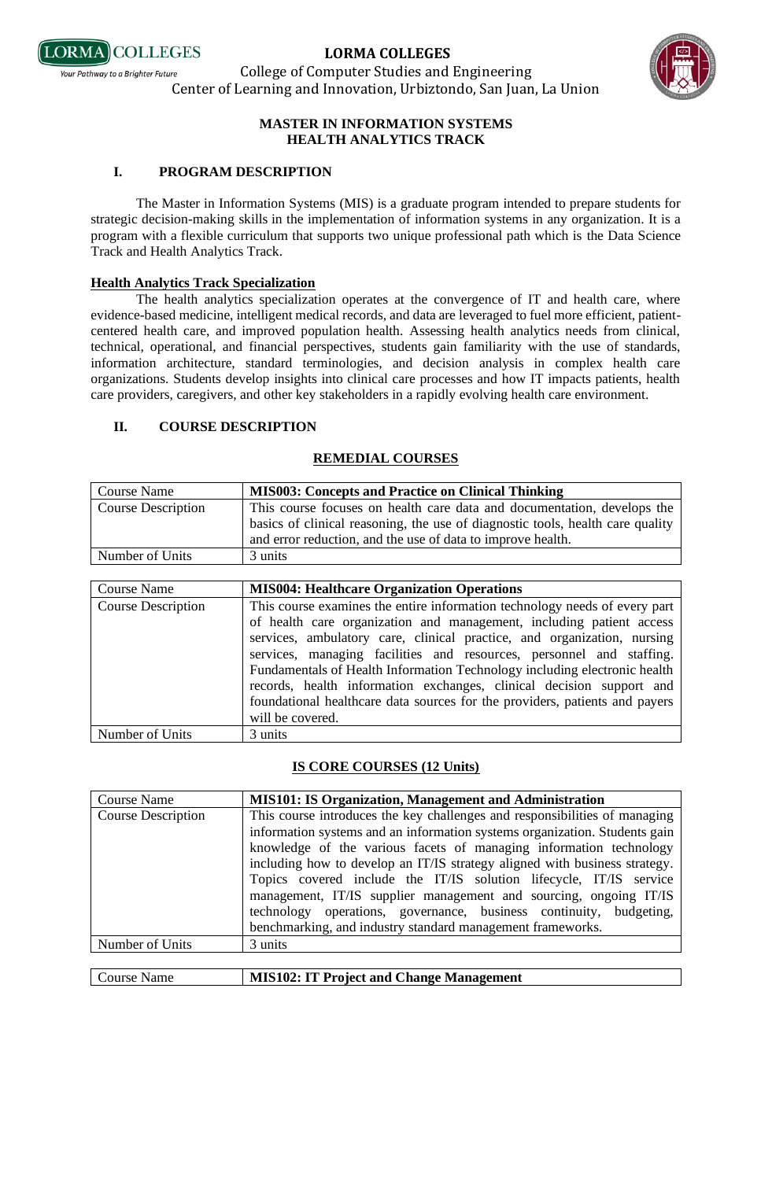

College of Computer Studies and Engineering Center of Learning and Innovation, Urbiztondo, San Juan, La Union



### **MASTER IN INFORMATION SYSTEMS HEALTH ANALYTICS TRACK**

## **I. PROGRAM DESCRIPTION**

The Master in Information Systems (MIS) is a graduate program intended to prepare students for strategic decision-making skills in the implementation of information systems in any organization. It is a program with a flexible curriculum that supports two unique professional path which is the Data Science Track and Health Analytics Track.

### **Health Analytics Track Specialization**

The health analytics specialization operates at the convergence of IT and health care, where evidence-based medicine, intelligent medical records, and data are leveraged to fuel more efficient, patientcentered health care, and improved population health. Assessing health analytics needs from clinical, technical, operational, and financial perspectives, students gain familiarity with the use of standards, information architecture, standard terminologies, and decision analysis in complex health care organizations. Students develop insights into clinical care processes and how IT impacts patients, health care providers, caregivers, and other key stakeholders in a rapidly evolving health care environment.

## **II. COURSE DESCRIPTION**

## **REMEDIAL COURSES**

| Course Name               | <b>MIS003: Concepts and Practice on Clinical Thinking</b>                      |
|---------------------------|--------------------------------------------------------------------------------|
| <b>Course Description</b> | This course focuses on health care data and documentation, develops the        |
|                           | basics of clinical reasoning, the use of diagnostic tools, health care quality |
|                           | and error reduction, and the use of data to improve health.                    |
| Number of Units           | 3 units                                                                        |

| <b>Course Name</b>        | <b>MIS004: Healthcare Organization Operations</b>                                                                                                                                                                                                                                                                                                                                                                                                                                                                                         |
|---------------------------|-------------------------------------------------------------------------------------------------------------------------------------------------------------------------------------------------------------------------------------------------------------------------------------------------------------------------------------------------------------------------------------------------------------------------------------------------------------------------------------------------------------------------------------------|
| <b>Course Description</b> | This course examines the entire information technology needs of every part<br>of health care organization and management, including patient access<br>services, ambulatory care, clinical practice, and organization, nursing<br>services, managing facilities and resources, personnel and staffing.<br>Fundamentals of Health Information Technology including electronic health<br>records, health information exchanges, clinical decision support and<br>foundational healthcare data sources for the providers, patients and payers |
|                           | will be covered.                                                                                                                                                                                                                                                                                                                                                                                                                                                                                                                          |
| Number of Units           | 3 units                                                                                                                                                                                                                                                                                                                                                                                                                                                                                                                                   |

### **IS CORE COURSES (12 Units)**

| Course Name               | <b>MIS101: IS Organization, Management and Administration</b>              |
|---------------------------|----------------------------------------------------------------------------|
| <b>Course Description</b> | This course introduces the key challenges and responsibilities of managing |
|                           | information systems and an information systems organization. Students gain |
|                           | knowledge of the various facets of managing information technology         |
|                           | including how to develop an IT/IS strategy aligned with business strategy. |
|                           | Topics covered include the IT/IS solution lifecycle, IT/IS service         |
|                           | management, IT/IS supplier management and sourcing, ongoing IT/IS          |
|                           | technology operations, governance, business continuity, budgeting,         |
|                           | benchmarking, and industry standard management frameworks.                 |
| Number of Units           | 3 units                                                                    |
|                           |                                                                            |

|  | Course Name | MIS102: IT Project and Change Management |
|--|-------------|------------------------------------------|
|--|-------------|------------------------------------------|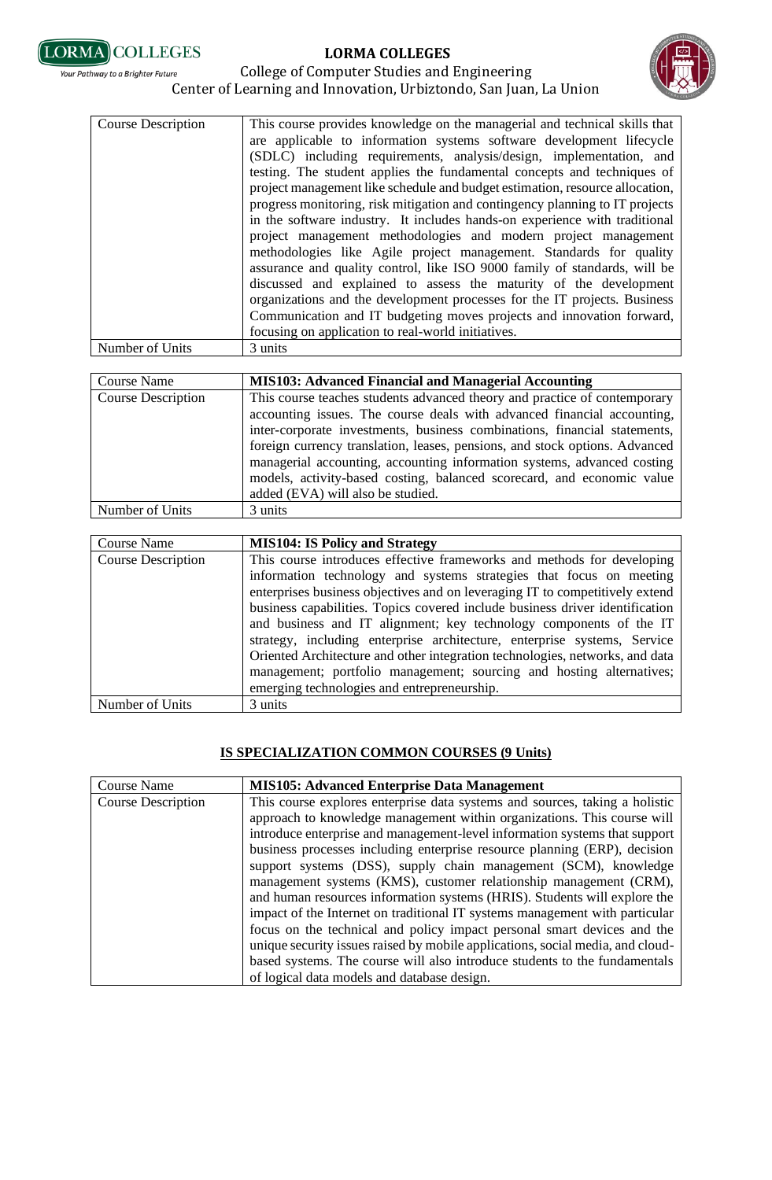**LORMA COLLEGES**



#### College of Computer Studies and Engineering Your Pathway to a Brighter Future Center of Learning and Innovation, Urbiztondo, San Juan, La Union

| <b>Course Description</b> | This course provides knowledge on the managerial and technical skills that                                                                                                                                                                                                                                                                                                                                                                                                                                                                                                                                                                                                                                                                                                                                                                                                                                                                                                 |
|---------------------------|----------------------------------------------------------------------------------------------------------------------------------------------------------------------------------------------------------------------------------------------------------------------------------------------------------------------------------------------------------------------------------------------------------------------------------------------------------------------------------------------------------------------------------------------------------------------------------------------------------------------------------------------------------------------------------------------------------------------------------------------------------------------------------------------------------------------------------------------------------------------------------------------------------------------------------------------------------------------------|
|                           | are applicable to information systems software development lifecycle<br>(SDLC) including requirements, analysis/design, implementation, and<br>testing. The student applies the fundamental concepts and techniques of<br>project management like schedule and budget estimation, resource allocation,<br>progress monitoring, risk mitigation and contingency planning to IT projects<br>in the software industry. It includes hands-on experience with traditional<br>project management methodologies and modern project management<br>methodologies like Agile project management. Standards for quality<br>assurance and quality control, like ISO 9000 family of standards, will be<br>discussed and explained to assess the maturity of the development<br>organizations and the development processes for the IT projects. Business<br>Communication and IT budgeting moves projects and innovation forward,<br>focusing on application to real-world initiatives. |
| Number of Units           | 3 units                                                                                                                                                                                                                                                                                                                                                                                                                                                                                                                                                                                                                                                                                                                                                                                                                                                                                                                                                                    |

| Course Name               | <b>MIS103: Advanced Financial and Managerial Accounting</b>                                                                                                                                                                                                                                                                                                                                                                                                                                                |
|---------------------------|------------------------------------------------------------------------------------------------------------------------------------------------------------------------------------------------------------------------------------------------------------------------------------------------------------------------------------------------------------------------------------------------------------------------------------------------------------------------------------------------------------|
| <b>Course Description</b> | This course teaches students advanced theory and practice of contemporary<br>accounting issues. The course deals with advanced financial accounting,<br>inter-corporate investments, business combinations, financial statements,<br>foreign currency translation, leases, pensions, and stock options. Advanced<br>managerial accounting, accounting information systems, advanced costing<br>models, activity-based costing, balanced scorecard, and economic value<br>added (EVA) will also be studied. |
| Number of Units           | 3 units                                                                                                                                                                                                                                                                                                                                                                                                                                                                                                    |

| <b>Course Name</b>        | <b>MIS104: IS Policy and Strategy</b>                                        |
|---------------------------|------------------------------------------------------------------------------|
| <b>Course Description</b> | This course introduces effective frameworks and methods for developing       |
|                           | information technology and systems strategies that focus on meeting          |
|                           | enterprises business objectives and on leveraging IT to competitively extend |
|                           | business capabilities. Topics covered include business driver identification |
|                           | and business and IT alignment; key technology components of the IT           |
|                           | strategy, including enterprise architecture, enterprise systems, Service     |
|                           | Oriented Architecture and other integration technologies, networks, and data |
|                           | management; portfolio management; sourcing and hosting alternatives;         |
|                           | emerging technologies and entrepreneurship.                                  |
| Number of Units           | 3 units                                                                      |

## **IS SPECIALIZATION COMMON COURSES (9 Units)**

| <b>Course Name</b>        | <b>MIS105: Advanced Enterprise Data Management</b>                             |
|---------------------------|--------------------------------------------------------------------------------|
| <b>Course Description</b> | This course explores enterprise data systems and sources, taking a holistic    |
|                           | approach to knowledge management within organizations. This course will        |
|                           | introduce enterprise and management-level information systems that support     |
|                           | business processes including enterprise resource planning (ERP), decision      |
|                           | support systems (DSS), supply chain management (SCM), knowledge                |
|                           | management systems (KMS), customer relationship management (CRM),              |
|                           | and human resources information systems (HRIS). Students will explore the      |
|                           | impact of the Internet on traditional IT systems management with particular    |
|                           | focus on the technical and policy impact personal smart devices and the        |
|                           | unique security issues raised by mobile applications, social media, and cloud- |
|                           | based systems. The course will also introduce students to the fundamentals     |
|                           | of logical data models and database design.                                    |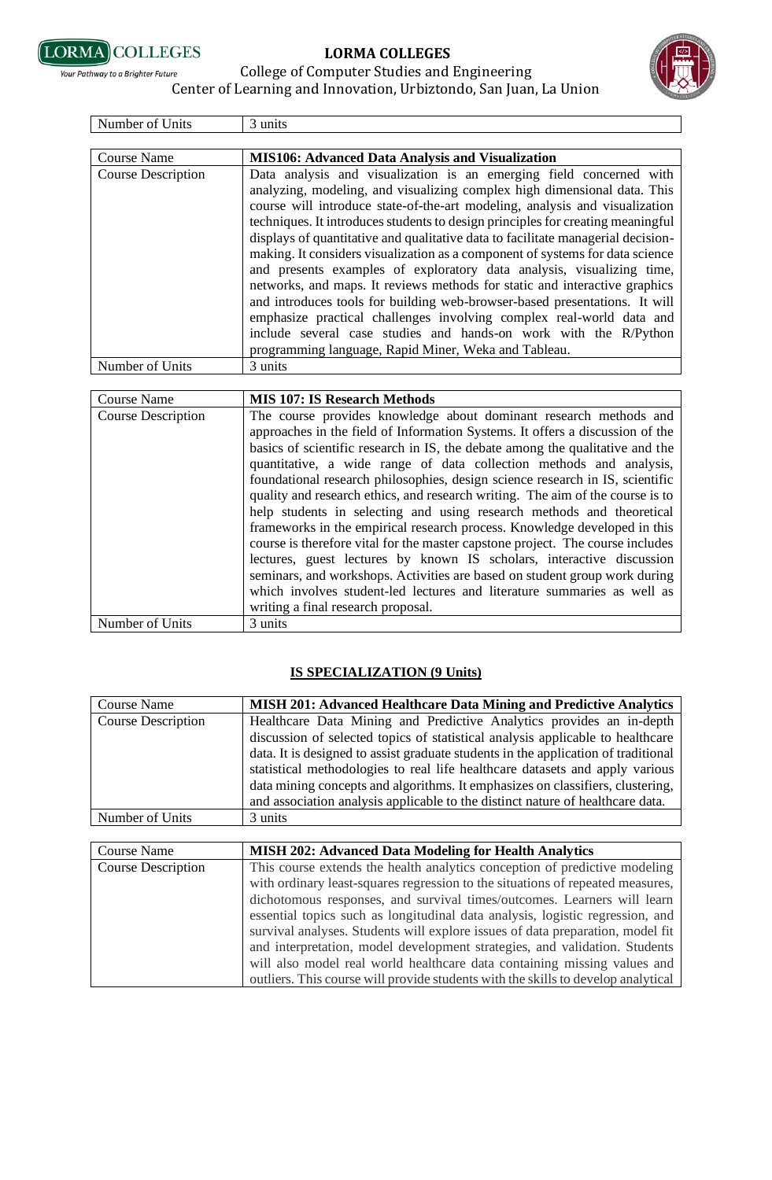

**Your Pathway to a Brighter Future** 

## **LORMA COLLEGES**

College of Computer Studies and Engineering



## Center of Learning and Innovation, Urbiztondo, San Juan, La Union

| Number of Units           | 3 units                                                                                                                                                                                                                                                                                                                                                                                                                                                                                                                                                                                                                                                                                                                                                                                                                                                                                                                         |
|---------------------------|---------------------------------------------------------------------------------------------------------------------------------------------------------------------------------------------------------------------------------------------------------------------------------------------------------------------------------------------------------------------------------------------------------------------------------------------------------------------------------------------------------------------------------------------------------------------------------------------------------------------------------------------------------------------------------------------------------------------------------------------------------------------------------------------------------------------------------------------------------------------------------------------------------------------------------|
|                           |                                                                                                                                                                                                                                                                                                                                                                                                                                                                                                                                                                                                                                                                                                                                                                                                                                                                                                                                 |
| Course Name               | <b>MIS106: Advanced Data Analysis and Visualization</b>                                                                                                                                                                                                                                                                                                                                                                                                                                                                                                                                                                                                                                                                                                                                                                                                                                                                         |
| <b>Course Description</b> | Data analysis and visualization is an emerging field concerned with<br>analyzing, modeling, and visualizing complex high dimensional data. This<br>course will introduce state-of-the-art modeling, analysis and visualization<br>techniques. It introduces students to design principles for creating meaningful<br>displays of quantitative and qualitative data to facilitate managerial decision-<br>making. It considers visualization as a component of systems for data science<br>and presents examples of exploratory data analysis, visualizing time,<br>networks, and maps. It reviews methods for static and interactive graphics<br>and introduces tools for building web-browser-based presentations. It will<br>emphasize practical challenges involving complex real-world data and<br>include several case studies and hands-on work with the R/Python<br>programming language, Rapid Miner, Weka and Tableau. |
| Number of Units           | 3 units                                                                                                                                                                                                                                                                                                                                                                                                                                                                                                                                                                                                                                                                                                                                                                                                                                                                                                                         |

| <b>Course Name</b>        | <b>MIS 107: IS Research Methods</b>                                            |
|---------------------------|--------------------------------------------------------------------------------|
| <b>Course Description</b> | The course provides knowledge about dominant research methods and              |
|                           | approaches in the field of Information Systems. It offers a discussion of the  |
|                           | basics of scientific research in IS, the debate among the qualitative and the  |
|                           | quantitative, a wide range of data collection methods and analysis,            |
|                           | foundational research philosophies, design science research in IS, scientific  |
|                           | quality and research ethics, and research writing. The aim of the course is to |
|                           | help students in selecting and using research methods and theoretical          |
|                           | frameworks in the empirical research process. Knowledge developed in this      |
|                           | course is therefore vital for the master capstone project. The course includes |
|                           | lectures, guest lectures by known IS scholars, interactive discussion          |
|                           | seminars, and workshops. Activities are based on student group work during     |
|                           | which involves student-led lectures and literature summaries as well as        |
|                           | writing a final research proposal.                                             |
| Number of Units           | 3 units                                                                        |

## **IS SPECIALIZATION (9 Units)**

| Course Name               | <b>MISH 201: Advanced Healthcare Data Mining and Predictive Analytics</b>                                                                                                                                                                                                                                                                                                                                      |
|---------------------------|----------------------------------------------------------------------------------------------------------------------------------------------------------------------------------------------------------------------------------------------------------------------------------------------------------------------------------------------------------------------------------------------------------------|
| <b>Course Description</b> | Healthcare Data Mining and Predictive Analytics provides an in-depth<br>discussion of selected topics of statistical analysis applicable to healthcare<br>data. It is designed to assist graduate students in the application of traditional<br>statistical methodologies to real life healthcare datasets and apply various<br>data mining concepts and algorithms. It emphasizes on classifiers, clustering, |
|                           | and association analysis applicable to the distinct nature of healthcare data.                                                                                                                                                                                                                                                                                                                                 |
| Number of Units           | 3 units                                                                                                                                                                                                                                                                                                                                                                                                        |
|                           |                                                                                                                                                                                                                                                                                                                                                                                                                |
| Course Name               | <b>MISH 202: Advanced Data Modeling for Health Analytics</b>                                                                                                                                                                                                                                                                                                                                                   |
| <b>Course Description</b> | This course extends the health analytics conception of predictive modeling                                                                                                                                                                                                                                                                                                                                     |

| <b>Course Description</b> | This course extends the health analytics conception of predictive modeling        |
|---------------------------|-----------------------------------------------------------------------------------|
|                           | with ordinary least-squares regression to the situations of repeated measures,    |
|                           | dichotomous responses, and survival times/outcomes. Learners will learn           |
|                           | essential topics such as longitudinal data analysis, logistic regression, and     |
|                           | survival analyses. Students will explore issues of data preparation, model fit    |
|                           | and interpretation, model development strategies, and validation. Students        |
|                           | will also model real world healthcare data containing missing values and          |
|                           | outliers. This course will provide students with the skills to develop analytical |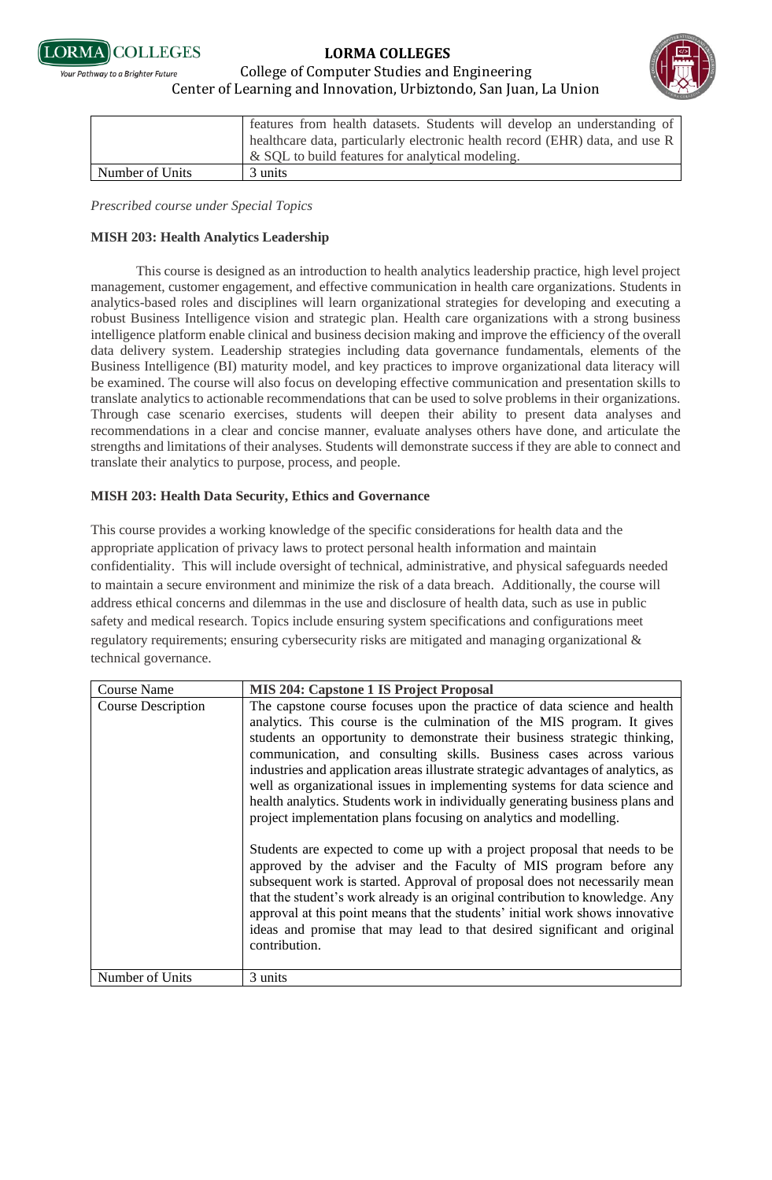



#### College of Computer Studies and Engineering .<br>Your Pathway to a Brighter Future Center of Learning and Innovation, Urbiztondo, San Juan, La Union

|                 | features from health datasets. Students will develop an understanding of     |
|-----------------|------------------------------------------------------------------------------|
|                 | healthcare data, particularly electronic health record (EHR) data, and use R |
|                 | & SQL to build features for analytical modeling.                             |
| Number of Units | 3 units                                                                      |

*Prescribed course under Special Topics*

## **MISH 203: Health Analytics Leadership**

This course is designed as an introduction to health analytics leadership practice, high level project management, customer engagement, and effective communication in health care organizations. Students in analytics-based roles and disciplines will learn organizational strategies for developing and executing a robust Business Intelligence vision and strategic plan. Health care organizations with a strong business intelligence platform enable clinical and business decision making and improve the efficiency of the overall data delivery system. Leadership strategies including data governance fundamentals, elements of the Business Intelligence (BI) maturity model, and key practices to improve organizational data literacy will be examined. The course will also focus on developing effective communication and presentation skills to translate analytics to actionable recommendations that can be used to solve problems in their organizations. Through case scenario exercises, students will deepen their ability to present data analyses and recommendations in a clear and concise manner, evaluate analyses others have done, and articulate the strengths and limitations of their analyses. Students will demonstrate success if they are able to connect and translate their analytics to purpose, process, and people.

## **MISH 203: Health Data Security, Ethics and Governance**

This course provides a working knowledge of the specific considerations for health data and the appropriate application of privacy laws to protect personal health information and maintain confidentiality. This will include oversight of technical, administrative, and physical safeguards needed to maintain a secure environment and minimize the risk of a data breach. Additionally, the course will address ethical concerns and dilemmas in the use and disclosure of health data, such as use in public safety and medical research. Topics include ensuring system specifications and configurations meet regulatory requirements; ensuring cybersecurity risks are mitigated and managing organizational & technical governance.

| Course Name               | <b>MIS 204: Capstone 1 IS Project Proposal</b>                                                                                                                                                                                                                                                                                                                                                                                                                                                                                                                                                                                                                                                                                                                                                                                                                                                                                                                                                                                                                                                                                 |
|---------------------------|--------------------------------------------------------------------------------------------------------------------------------------------------------------------------------------------------------------------------------------------------------------------------------------------------------------------------------------------------------------------------------------------------------------------------------------------------------------------------------------------------------------------------------------------------------------------------------------------------------------------------------------------------------------------------------------------------------------------------------------------------------------------------------------------------------------------------------------------------------------------------------------------------------------------------------------------------------------------------------------------------------------------------------------------------------------------------------------------------------------------------------|
| <b>Course Description</b> | The capstone course focuses upon the practice of data science and health<br>analytics. This course is the culmination of the MIS program. It gives<br>students an opportunity to demonstrate their business strategic thinking,<br>communication, and consulting skills. Business cases across various<br>industries and application areas illustrate strategic advantages of analytics, as<br>well as organizational issues in implementing systems for data science and<br>health analytics. Students work in individually generating business plans and<br>project implementation plans focusing on analytics and modelling.<br>Students are expected to come up with a project proposal that needs to be<br>approved by the adviser and the Faculty of MIS program before any<br>subsequent work is started. Approval of proposal does not necessarily mean<br>that the student's work already is an original contribution to knowledge. Any<br>approval at this point means that the students' initial work shows innovative<br>ideas and promise that may lead to that desired significant and original<br>contribution. |
| Number of Units           | 3 units                                                                                                                                                                                                                                                                                                                                                                                                                                                                                                                                                                                                                                                                                                                                                                                                                                                                                                                                                                                                                                                                                                                        |